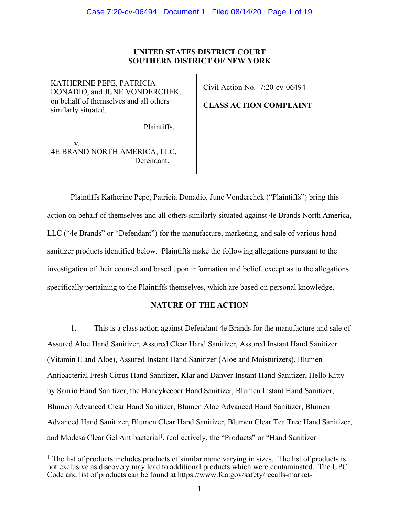# **UNITED STATES DISTRICT COURT SOUTHERN DISTRICT OF NEW YORK**

KATHERINE PEPE, PATRICIA DONADIO, and JUNE VONDERCHEK, on behalf of themselves and all others similarly situated,

Civil Action No. 7:20-cv-06494

# **CLASS ACTION COMPLAINT**

Plaintiffs,

v. 4E BRAND NORTH AMERICA, LLC, Defendant.

Plaintiffs Katherine Pepe, Patricia Donadio, June Vonderchek ("Plaintiffs") bring this action on behalf of themselves and all others similarly situated against 4e Brands North America, LLC ("4e Brands" or "Defendant") for the manufacture, marketing, and sale of various hand sanitizer products identified below. Plaintiffs make the following allegations pursuant to the investigation of their counsel and based upon information and belief, except as to the allegations specifically pertaining to the Plaintiffs themselves, which are based on personal knowledge.

# **NATURE OF THE ACTION**

1. This is a class action against Defendant 4e Brands for the manufacture and sale of Assured Aloe Hand Sanitizer, Assured Clear Hand Sanitizer, Assured Instant Hand Sanitizer (Vitamin E and Aloe), Assured Instant Hand Sanitizer (Aloe and Moisturizers), Blumen Antibacterial Fresh Citrus Hand Sanitizer, Klar and Danver Instant Hand Sanitizer, Hello Kitty by Sanrio Hand Sanitizer, the Honeykeeper Hand Sanitizer, Blumen Instant Hand Sanitizer, Blumen Advanced Clear Hand Sanitizer, Blumen Aloe Advanced Hand Sanitizer, Blumen Advanced Hand Sanitizer, Blumen Clear Hand Sanitizer, Blumen Clear Tea Tree Hand Sanitizer, and Modesa Clear Gel Antibacterial<sup>1</sup>, (collectively, the "Products" or "Hand Sanitizer

<sup>&</sup>lt;sup>1</sup> The list of products includes products of similar name varying in sizes. The list of products is not exclusive as discovery may lead to additional products which were contaminated. The UPC Code and list of products can be found at https://www.fda.gov/safety/recalls-market-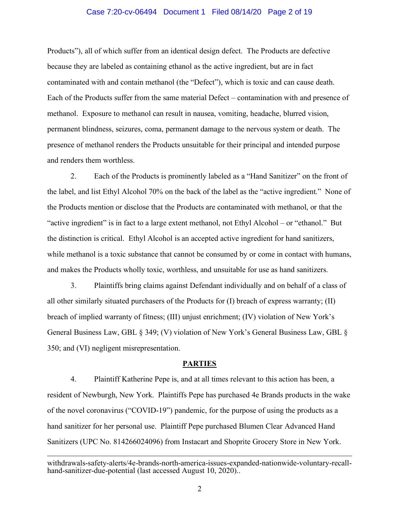# Case 7:20-cv-06494 Document 1 Filed 08/14/20 Page 2 of 19

Products"), all of which suffer from an identical design defect. The Products are defective because they are labeled as containing ethanol as the active ingredient, but are in fact contaminated with and contain methanol (the "Defect"), which is toxic and can cause death. Each of the Products suffer from the same material Defect – contamination with and presence of methanol. Exposure to methanol can result in nausea, vomiting, headache, blurred vision, permanent blindness, seizures, coma, permanent damage to the nervous system or death. The presence of methanol renders the Products unsuitable for their principal and intended purpose and renders them worthless.

2. Each of the Products is prominently labeled as a "Hand Sanitizer" on the front of the label, and list Ethyl Alcohol 70% on the back of the label as the "active ingredient." None of the Products mention or disclose that the Products are contaminated with methanol, or that the "active ingredient" is in fact to a large extent methanol, not Ethyl Alcohol – or "ethanol." But the distinction is critical. Ethyl Alcohol is an accepted active ingredient for hand sanitizers, while methanol is a toxic substance that cannot be consumed by or come in contact with humans, and makes the Products wholly toxic, worthless, and unsuitable for use as hand sanitizers.

3. Plaintiffs bring claims against Defendant individually and on behalf of a class of all other similarly situated purchasers of the Products for (I) breach of express warranty; (II) breach of implied warranty of fitness; (III) unjust enrichment; (IV) violation of New York's General Business Law, GBL § 349; (V) violation of New York's General Business Law, GBL § 350; and (VI) negligent misrepresentation.

#### **PARTIES**

4. Plaintiff Katherine Pepe is, and at all times relevant to this action has been, a resident of Newburgh, New York. Plaintiffs Pepe has purchased 4e Brands products in the wake of the novel coronavirus ("COVID-19") pandemic, for the purpose of using the products as a hand sanitizer for her personal use. Plaintiff Pepe purchased Blumen Clear Advanced Hand Sanitizers (UPC No. 814266024096) from Instacart and Shoprite Grocery Store in New York.

withdrawals-safety-alerts/4e-brands-north-america-issues-expanded-nationwide-voluntary-recallhand-sanitizer-due-potential (last accessed August 10, 2020)...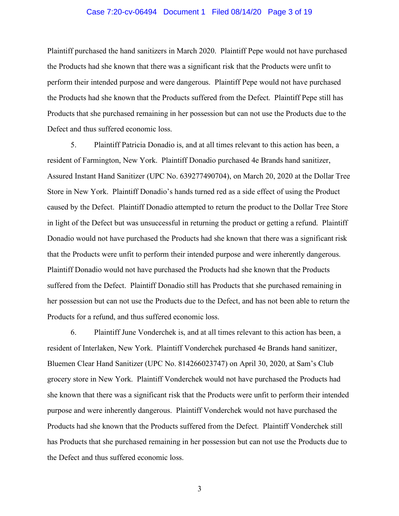# Case 7:20-cv-06494 Document 1 Filed 08/14/20 Page 3 of 19

Plaintiff purchased the hand sanitizers in March 2020. Plaintiff Pepe would not have purchased the Products had she known that there was a significant risk that the Products were unfit to perform their intended purpose and were dangerous. Plaintiff Pepe would not have purchased the Products had she known that the Products suffered from the Defect. Plaintiff Pepe still has Products that she purchased remaining in her possession but can not use the Products due to the Defect and thus suffered economic loss.

5. Plaintiff Patricia Donadio is, and at all times relevant to this action has been, a resident of Farmington, New York. Plaintiff Donadio purchased 4e Brands hand sanitizer, Assured Instant Hand Sanitizer (UPC No. 639277490704), on March 20, 2020 at the Dollar Tree Store in New York. Plaintiff Donadio's hands turned red as a side effect of using the Product caused by the Defect. Plaintiff Donadio attempted to return the product to the Dollar Tree Store in light of the Defect but was unsuccessful in returning the product or getting a refund. Plaintiff Donadio would not have purchased the Products had she known that there was a significant risk that the Products were unfit to perform their intended purpose and were inherently dangerous. Plaintiff Donadio would not have purchased the Products had she known that the Products suffered from the Defect. Plaintiff Donadio still has Products that she purchased remaining in her possession but can not use the Products due to the Defect, and has not been able to return the Products for a refund, and thus suffered economic loss.

6. Plaintiff June Vonderchek is, and at all times relevant to this action has been, a resident of Interlaken, New York. Plaintiff Vonderchek purchased 4e Brands hand sanitizer, Bluemen Clear Hand Sanitizer (UPC No. 814266023747) on April 30, 2020, at Sam's Club grocery store in New York. Plaintiff Vonderchek would not have purchased the Products had she known that there was a significant risk that the Products were unfit to perform their intended purpose and were inherently dangerous. Plaintiff Vonderchek would not have purchased the Products had she known that the Products suffered from the Defect. Plaintiff Vonderchek still has Products that she purchased remaining in her possession but can not use the Products due to the Defect and thus suffered economic loss.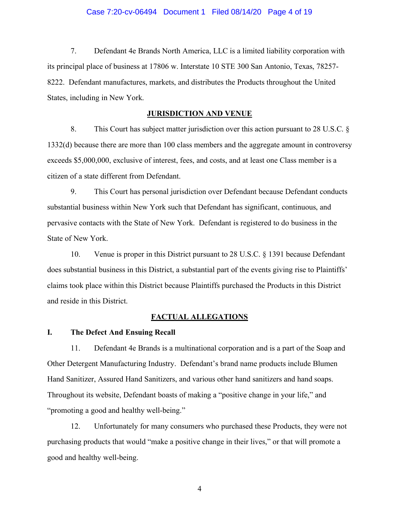# Case 7:20-cv-06494 Document 1 Filed 08/14/20 Page 4 of 19

7. Defendant 4e Brands North America, LLC is a limited liability corporation with its principal place of business at 17806 w. Interstate 10 STE 300 San Antonio, Texas, 78257- 8222. Defendant manufactures, markets, and distributes the Products throughout the United States, including in New York.

# **JURISDICTION AND VENUE**

8. This Court has subject matter jurisdiction over this action pursuant to 28 U.S.C. § 1332(d) because there are more than 100 class members and the aggregate amount in controversy exceeds \$5,000,000, exclusive of interest, fees, and costs, and at least one Class member is a citizen of a state different from Defendant.

9. This Court has personal jurisdiction over Defendant because Defendant conducts substantial business within New York such that Defendant has significant, continuous, and pervasive contacts with the State of New York. Defendant is registered to do business in the State of New York.

10. Venue is proper in this District pursuant to 28 U.S.C. § 1391 because Defendant does substantial business in this District, a substantial part of the events giving rise to Plaintiffs' claims took place within this District because Plaintiffs purchased the Products in this District and reside in this District.

# **FACTUAL ALLEGATIONS**

# **I. The Defect And Ensuing Recall**

11. Defendant 4e Brands is a multinational corporation and is a part of the Soap and Other Detergent Manufacturing Industry. Defendant's brand name products include Blumen Hand Sanitizer, Assured Hand Sanitizers, and various other hand sanitizers and hand soaps. Throughout its website, Defendant boasts of making a "positive change in your life," and "promoting a good and healthy well-being."

12. Unfortunately for many consumers who purchased these Products, they were not purchasing products that would "make a positive change in their lives," or that will promote a good and healthy well-being.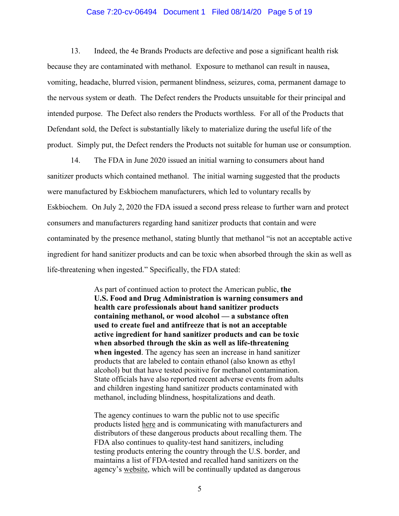# Case 7:20-cv-06494 Document 1 Filed 08/14/20 Page 5 of 19

13. Indeed, the 4e Brands Products are defective and pose a significant health risk because they are contaminated with methanol. Exposure to methanol can result in nausea, vomiting, headache, blurred vision, permanent blindness, seizures, coma, permanent damage to the nervous system or death. The Defect renders the Products unsuitable for their principal and intended purpose. The Defect also renders the Products worthless. For all of the Products that Defendant sold, the Defect is substantially likely to materialize during the useful life of the product. Simply put, the Defect renders the Products not suitable for human use or consumption.

14. The FDA in June 2020 issued an initial warning to consumers about hand sanitizer products which contained methanol. The initial warning suggested that the products were manufactured by Eskbiochem manufacturers, which led to voluntary recalls by Eskbiochem. On July 2, 2020 the FDA issued a second press release to further warn and protect consumers and manufacturers regarding hand sanitizer products that contain and were contaminated by the presence methanol, stating bluntly that methanol "is not an acceptable active ingredient for hand sanitizer products and can be toxic when absorbed through the skin as well as life-threatening when ingested." Specifically, the FDA stated:

> As part of continued action to protect the American public, **the U.S. Food and Drug Administration is warning consumers and health care professionals about hand sanitizer products containing methanol, or wood alcohol — a substance often used to create fuel and antifreeze that is not an acceptable active ingredient for hand sanitizer products and can be toxic when absorbed through the skin as well as life-threatening when ingested**. The agency has seen an increase in hand sanitizer products that are labeled to contain ethanol (also known as ethyl alcohol) but that have tested positive for methanol contamination. State officials have also reported recent adverse events from adults and children ingesting hand sanitizer products contaminated with methanol, including blindness, hospitalizations and death.

> The agency continues to warn the public not to use specific products listed here and is communicating with manufacturers and distributors of these dangerous products about recalling them. The FDA also continues to quality-test hand sanitizers, including testing products entering the country through the U.S. border, and maintains a list of FDA-tested and recalled hand sanitizers on the agency's website, which will be continually updated as dangerous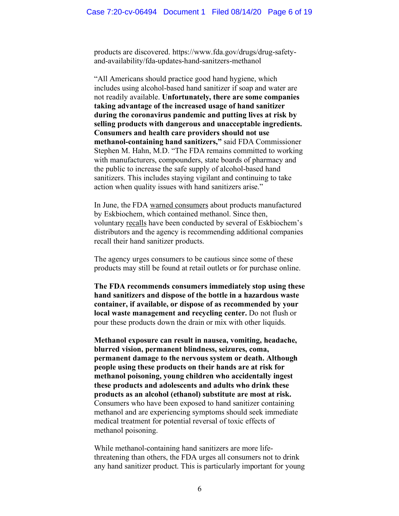products are discovered. https://www.fda.gov/drugs/drug-safetyand-availability/fda-updates-hand-sanitzers-methanol

"All Americans should practice good hand hygiene, which includes using alcohol-based hand sanitizer if soap and water are not readily available. **Unfortunately, there are some companies taking advantage of the increased usage of hand sanitizer during the coronavirus pandemic and putting lives at risk by selling products with dangerous and unacceptable ingredients. Consumers and health care providers should not use methanol-containing hand sanitizers,"** said FDA Commissioner Stephen M. Hahn, M.D. "The FDA remains committed to working with manufacturers, compounders, state boards of pharmacy and the public to increase the safe supply of alcohol-based hand sanitizers. This includes staying vigilant and continuing to take action when quality issues with hand sanitizers arise."

In June, the FDA warned consumers about products manufactured by Eskbiochem, which contained methanol. Since then, voluntary recalls have been conducted by several of Eskbiochem's distributors and the agency is recommending additional companies recall their hand sanitizer products.

The agency urges consumers to be cautious since some of these products may still be found at retail outlets or for purchase online.

**The FDA recommends consumers immediately stop using these hand sanitizers and dispose of the bottle in a hazardous waste container, if available, or dispose of as recommended by your local waste management and recycling center.** Do not flush or pour these products down the drain or mix with other liquids.

**Methanol exposure can result in nausea, vomiting, headache, blurred vision, permanent blindness, seizures, coma, permanent damage to the nervous system or death. Although people using these products on their hands are at risk for methanol poisoning, young children who accidentally ingest these products and adolescents and adults who drink these products as an alcohol (ethanol) substitute are most at risk.** Consumers who have been exposed to hand sanitizer containing methanol and are experiencing symptoms should seek immediate medical treatment for potential reversal of toxic effects of methanol poisoning.

While methanol-containing hand sanitizers are more lifethreatening than others, the FDA urges all consumers not to drink any hand sanitizer product. This is particularly important for young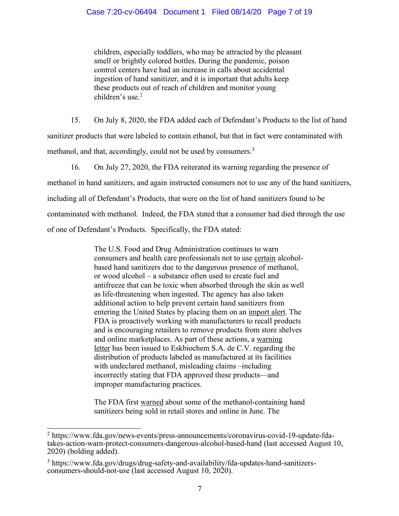children, especially toddlers, who may be attracted by the pleasant smell or brightly colored bottles. During the pandemic, poison control centers have had an increase in calls about accidental ingestion of hand sanitizer, and it is important that adults keep these products out of reach of children and monitor young children's use.<sup>2</sup>

15. On July 8, 2020, the FDA added each of Defendant's Products to the list of hand sanitizer products that were labeled to contain ethanol, but that in fact were contaminated with methanol, and that, accordingly, could not be used by consumers.<sup>3</sup>

16. On July 27, 2020, the FDA reiterated its warning regarding the presence of methanol in hand sanitizers, and again instructed consumers not to use any of the hand sanitizers, including all of Defendant's Products, that were on the list of hand sanitizers found to be contaminated with methanol. Indeed, the FDA stated that a consumer had died through the use of one of Defendant's Products. Specifically, the FDA stated:

> The U.S. Food and Drug Administration continues to warn consumers and health care professionals not to use certain alcoholbased hand sanitizers due to the dangerous presence of methanol, or wood alcohol – a substance often used to create fuel and antifreeze that can be toxic when absorbed through the skin as well as life-threatening when ingested. The agency has also taken additional action to help prevent certain hand sanitizers from entering the United States by placing them on an import alert. The FDA is proactively working with manufacturers to recall products and is encouraging retailers to remove products from store shelves and online marketplaces. As part of these actions, a warning letter has been issued to Eskbiochem S.A. de C.V. regarding the distribution of products labeled as manufactured at its facilities with undeclared methanol, misleading claims –including incorrectly stating that FDA approved these products—and improper manufacturing practices.

> The FDA first warned about some of the methanol-containing hand sanitizers being sold in retail stores and online in June. The

<sup>2</sup> https://www.fda.gov/news-events/press-announcements/coronavirus-covid-19-update-fda- takes-action-warn-protect-consumers-dangerous-alcohol-based-hand (last accessed August 10, 2020) (bolding added).

<sup>3</sup> https://www.fda.gov/drugs/drug-safety-and-availability/fda-updates-hand-sanitizersconsumers-should-not-use (last accessed August 10, 2020).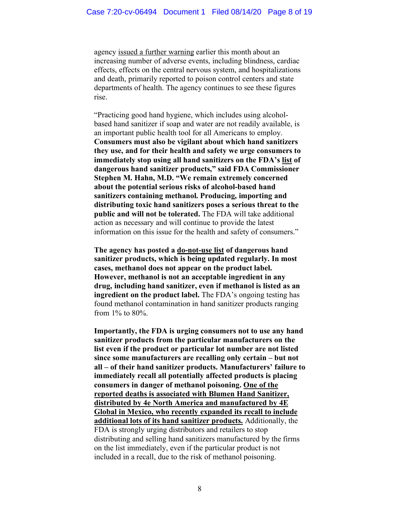agency issued a further warning earlier this month about an increasing number of adverse events, including blindness, cardiac effects, effects on the central nervous system, and hospitalizations and death, primarily reported to poison control centers and state departments of health. The agency continues to see these figures rise.

"Practicing good hand hygiene, which includes using alcoholbased hand sanitizer if soap and water are not readily available, is an important public health tool for all Americans to employ. **Consumers must also be vigilant about which hand sanitizers they use, and for their health and safety we urge consumers to immediately stop using all hand sanitizers on the FDA's list of dangerous hand sanitizer products," said FDA Commissioner Stephen M. Hahn, M.D. "We remain extremely concerned about the potential serious risks of alcohol-based hand sanitizers containing methanol. Producing, importing and distributing toxic hand sanitizers poses a serious threat to the public and will not be tolerated.** The FDA will take additional action as necessary and will continue to provide the latest information on this issue for the health and safety of consumers."

**The agency has posted a do-not-use list of dangerous hand sanitizer products, which is being updated regularly. In most cases, methanol does not appear on the product label. However, methanol is not an acceptable ingredient in any drug, including hand sanitizer, even if methanol is listed as an ingredient on the product label.** The FDA's ongoing testing has found methanol contamination in hand sanitizer products ranging from 1% to 80%.

**Importantly, the FDA is urging consumers not to use any hand sanitizer products from the particular manufacturers on the list even if the product or particular lot number are not listed since some manufacturers are recalling only certain – but not all – of their hand sanitizer products. Manufacturers' failure to immediately recall all potentially affected products is placing consumers in danger of methanol poisoning. One of the reported deaths is associated with Blumen Hand Sanitizer, distributed by 4e North America and manufactured by 4E Global in Mexico, who recently expanded its recall to include additional lots of its hand sanitizer products.** Additionally, the FDA is strongly urging distributors and retailers to stop distributing and selling hand sanitizers manufactured by the firms on the list immediately, even if the particular product is not included in a recall, due to the risk of methanol poisoning.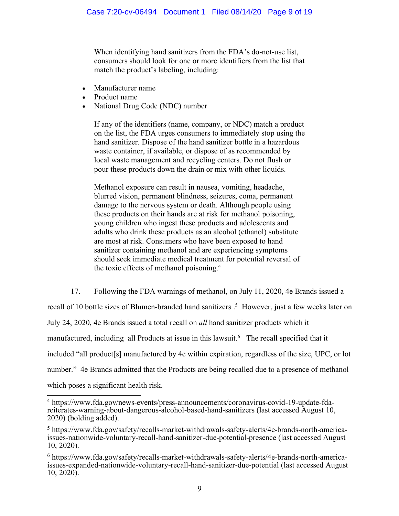When identifying hand sanitizers from the FDA's do-not-use list, consumers should look for one or more identifiers from the list that match the product's labeling, including:

- Manufacturer name
- Product name
- National Drug Code (NDC) number

If any of the identifiers (name, company, or NDC) match a product on the list, the FDA urges consumers to immediately stop using the hand sanitizer. Dispose of the hand sanitizer bottle in a hazardous waste container, if available, or dispose of as recommended by local waste management and recycling centers. Do not flush or pour these products down the drain or mix with other liquids.

Methanol exposure can result in nausea, vomiting, headache, blurred vision, permanent blindness, seizures, coma, permanent damage to the nervous system or death. Although people using these products on their hands are at risk for methanol poisoning, young children who ingest these products and adolescents and adults who drink these products as an alcohol (ethanol) substitute are most at risk. Consumers who have been exposed to hand sanitizer containing methanol and are experiencing symptoms should seek immediate medical treatment for potential reversal of the toxic effects of methanol poisoning.4

17. Following the FDA warnings of methanol, on July 11, 2020, 4e Brands issued a

recall of 10 bottle sizes of Blumen-branded hand sanitizers . 5 However, just a few weeks later on

July 24, 2020, 4e Brands issued a total recall on *all* hand sanitizer products which it

manufactured, including all Products at issue in this lawsuit.<sup>6</sup> The recall specified that it

included "all product[s] manufactured by 4e within expiration, regardless of the size, UPC, or lot

number." 4e Brands admitted that the Products are being recalled due to a presence of methanol

which poses a significant health risk.

 <sup>4</sup> https://www.fda.gov/news-events/press-announcements/coronavirus-covid-19-update-fdareiterates-warning-about-dangerous-alcohol-based-hand-sanitizers (last accessed August 10, 2020) (bolding added).

<sup>5</sup> https://www.fda.gov/safety/recalls-market-withdrawals-safety-alerts/4e-brands-north-americaissues-nationwide-voluntary-recall-hand-sanitizer-due-potential-presence (last accessed August 10, 2020).

<sup>6</sup> https://www.fda.gov/safety/recalls-market-withdrawals-safety-alerts/4e-brands-north-americaissues-expanded-nationwide-voluntary-recall-hand-sanitizer-due-potential (last accessed August 10, 2020).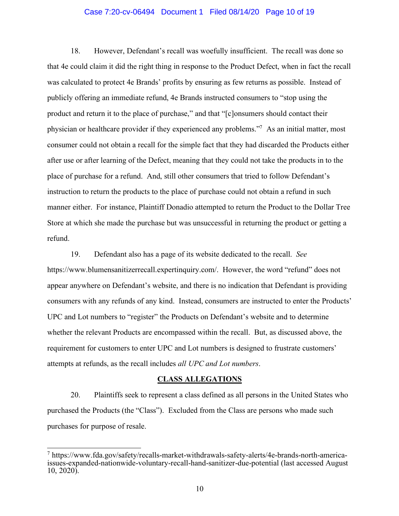# Case 7:20-cv-06494 Document 1 Filed 08/14/20 Page 10 of 19

18. However, Defendant's recall was woefully insufficient. The recall was done so that 4e could claim it did the right thing in response to the Product Defect, when in fact the recall was calculated to protect 4e Brands' profits by ensuring as few returns as possible. Instead of publicly offering an immediate refund, 4e Brands instructed consumers to "stop using the product and return it to the place of purchase," and that "[c]onsumers should contact their physician or healthcare provider if they experienced any problems."7 As an initial matter, most consumer could not obtain a recall for the simple fact that they had discarded the Products either after use or after learning of the Defect, meaning that they could not take the products in to the place of purchase for a refund. And, still other consumers that tried to follow Defendant's instruction to return the products to the place of purchase could not obtain a refund in such manner either. For instance, Plaintiff Donadio attempted to return the Product to the Dollar Tree Store at which she made the purchase but was unsuccessful in returning the product or getting a refund.

19. Defendant also has a page of its website dedicated to the recall. *See* https://www.blumensanitizerrecall.expertinquiry.com/. However, the word "refund" does not appear anywhere on Defendant's website, and there is no indication that Defendant is providing consumers with any refunds of any kind. Instead, consumers are instructed to enter the Products' UPC and Lot numbers to "register" the Products on Defendant's website and to determine whether the relevant Products are encompassed within the recall. But, as discussed above, the requirement for customers to enter UPC and Lot numbers is designed to frustrate customers' attempts at refunds, as the recall includes *all UPC and Lot numbers*.

#### **CLASS ALLEGATIONS**

20. Plaintiffs seek to represent a class defined as all persons in the United States who purchased the Products (the "Class"). Excluded from the Class are persons who made such purchases for purpose of resale.

<sup>7</sup> https://www.fda.gov/safety/recalls-market-withdrawals-safety-alerts/4e-brands-north-america- issues-expanded-nationwide-voluntary-recall-hand-sanitizer-due-potential (last accessed August 10, 2020).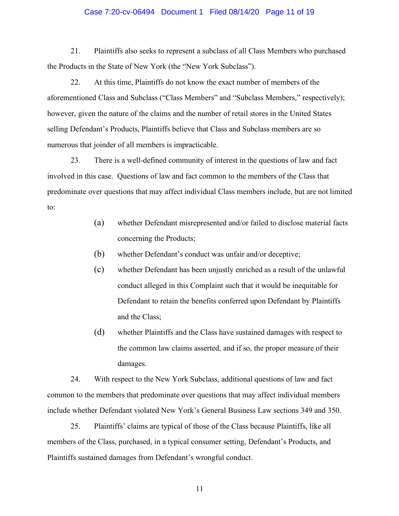# Case 7:20-cv-06494 Document 1 Filed 08/14/20 Page 11 of 19

21. Plaintiffs also seeks to represent a subclass of all Class Members who purchased the Products in the State of New York (the "New York Subclass").

22. At this time, Plaintiffs do not know the exact number of members of the aforementioned Class and Subclass ("Class Members" and "Subclass Members," respectively); however, given the nature of the claims and the number of retail stores in the United States selling Defendant's Products, Plaintiffs believe that Class and Subclass members are so numerous that joinder of all members is impracticable.

23. There is a well-defined community of interest in the questions of law and fact involved in this case. Questions of law and fact common to the members of the Class that predominate over questions that may affect individual Class members include, but are not limited to:

- (a) whether Defendant misrepresented and/or failed to disclose material facts concerning the Products;
- (b) whether Defendant's conduct was unfair and/or deceptive;
- (c) whether Defendant has been unjustly enriched as a result of the unlawful conduct alleged in this Complaint such that it would be inequitable for Defendant to retain the benefits conferred upon Defendant by Plaintiffs and the Class;
- (d) whether Plaintiffs and the Class have sustained damages with respect to the common law claims asserted, and if so, the proper measure of their damages.

24. With respect to the New York Subclass, additional questions of law and fact common to the members that predominate over questions that may affect individual members include whether Defendant violated New York's General Business Law sections 349 and 350.

25. Plaintiffs' claims are typical of those of the Class because Plaintiffs, like all members of the Class, purchased, in a typical consumer setting, Defendant's Products, and Plaintiffs sustained damages from Defendant's wrongful conduct.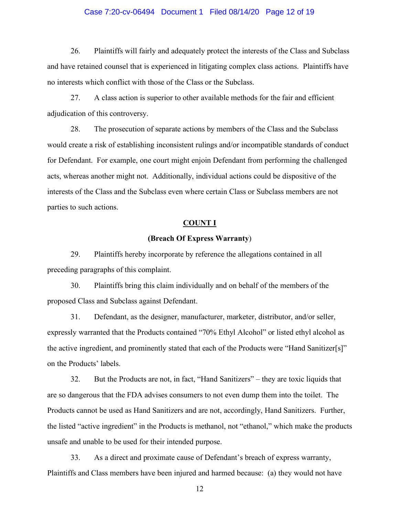# Case 7:20-cv-06494 Document 1 Filed 08/14/20 Page 12 of 19

26. Plaintiffs will fairly and adequately protect the interests of the Class and Subclass and have retained counsel that is experienced in litigating complex class actions. Plaintiffs have no interests which conflict with those of the Class or the Subclass.

27. A class action is superior to other available methods for the fair and efficient adjudication of this controversy.

28. The prosecution of separate actions by members of the Class and the Subclass would create a risk of establishing inconsistent rulings and/or incompatible standards of conduct for Defendant. For example, one court might enjoin Defendant from performing the challenged acts, whereas another might not. Additionally, individual actions could be dispositive of the interests of the Class and the Subclass even where certain Class or Subclass members are not parties to such actions.

# **COUNT I**

# **(Breach Of Express Warranty**)

29. Plaintiffs hereby incorporate by reference the allegations contained in all preceding paragraphs of this complaint.

30. Plaintiffs bring this claim individually and on behalf of the members of the proposed Class and Subclass against Defendant.

31. Defendant, as the designer, manufacturer, marketer, distributor, and/or seller, expressly warranted that the Products contained "70% Ethyl Alcohol" or listed ethyl alcohol as the active ingredient, and prominently stated that each of the Products were "Hand Sanitizer[s]" on the Products' labels.

32. But the Products are not, in fact, "Hand Sanitizers" – they are toxic liquids that are so dangerous that the FDA advises consumers to not even dump them into the toilet. The Products cannot be used as Hand Sanitizers and are not, accordingly, Hand Sanitizers. Further, the listed "active ingredient" in the Products is methanol, not "ethanol," which make the products unsafe and unable to be used for their intended purpose.

33. As a direct and proximate cause of Defendant's breach of express warranty, Plaintiffs and Class members have been injured and harmed because: (a) they would not have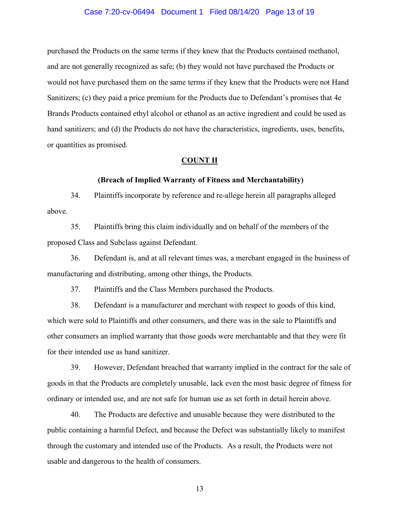#### Case 7:20-cv-06494 Document 1 Filed 08/14/20 Page 13 of 19

purchased the Products on the same terms if they knew that the Products contained methanol, and are not generally recognized as safe; (b) they would not have purchased the Products or would not have purchased them on the same terms if they knew that the Products were not Hand Sanitizers; (c) they paid a price premium for the Products due to Defendant's promises that 4e Brands Products contained ethyl alcohol or ethanol as an active ingredient and could be used as hand sanitizers; and (d) the Products do not have the characteristics, ingredients, uses, benefits, or quantities as promised.

#### **COUNT II**

#### **(Breach of Implied Warranty of Fitness and Merchantability)**

34. Plaintiffs incorporate by reference and re-allege herein all paragraphs alleged above.

35. Plaintiffs bring this claim individually and on behalf of the members of the proposed Class and Subclass against Defendant.

36. Defendant is, and at all relevant times was, a merchant engaged in the business of manufacturing and distributing, among other things, the Products.

37. Plaintiffs and the Class Members purchased the Products.

38. Defendant is a manufacturer and merchant with respect to goods of this kind, which were sold to Plaintiffs and other consumers, and there was in the sale to Plaintiffs and other consumers an implied warranty that those goods were merchantable and that they were fit for their intended use as hand sanitizer.

39. However, Defendant breached that warranty implied in the contract for the sale of goods in that the Products are completely unusable, lack even the most basic degree of fitness for ordinary or intended use, and are not safe for human use as set forth in detail herein above.

40. The Products are defective and unusable because they were distributed to the public containing a harmful Defect, and because the Defect was substantially likely to manifest through the customary and intended use of the Products. As a result, the Products were not usable and dangerous to the health of consumers.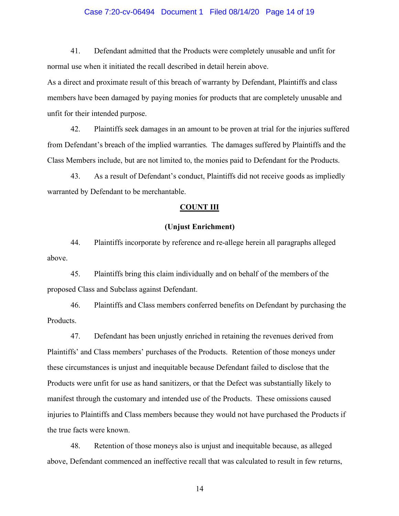# Case 7:20-cv-06494 Document 1 Filed 08/14/20 Page 14 of 19

41. Defendant admitted that the Products were completely unusable and unfit for normal use when it initiated the recall described in detail herein above.

As a direct and proximate result of this breach of warranty by Defendant, Plaintiffs and class members have been damaged by paying monies for products that are completely unusable and unfit for their intended purpose.

42. Plaintiffs seek damages in an amount to be proven at trial for the injuries suffered from Defendant's breach of the implied warranties. The damages suffered by Plaintiffs and the Class Members include, but are not limited to, the monies paid to Defendant for the Products.

43. As a result of Defendant's conduct, Plaintiffs did not receive goods as impliedly warranted by Defendant to be merchantable.

# **COUNT III**

# **(Unjust Enrichment)**

44. Plaintiffs incorporate by reference and re-allege herein all paragraphs alleged above.

45. Plaintiffs bring this claim individually and on behalf of the members of the proposed Class and Subclass against Defendant.

46. Plaintiffs and Class members conferred benefits on Defendant by purchasing the Products.

47. Defendant has been unjustly enriched in retaining the revenues derived from Plaintiffs' and Class members' purchases of the Products. Retention of those moneys under these circumstances is unjust and inequitable because Defendant failed to disclose that the Products were unfit for use as hand sanitizers, or that the Defect was substantially likely to manifest through the customary and intended use of the Products. These omissions caused injuries to Plaintiffs and Class members because they would not have purchased the Products if the true facts were known.

48. Retention of those moneys also is unjust and inequitable because, as alleged above, Defendant commenced an ineffective recall that was calculated to result in few returns,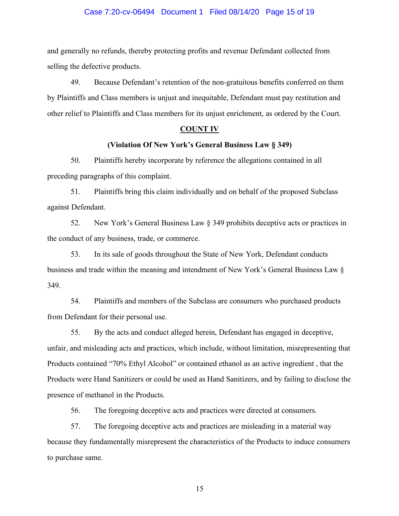# Case 7:20-cv-06494 Document 1 Filed 08/14/20 Page 15 of 19

and generally no refunds, thereby protecting profits and revenue Defendant collected from selling the defective products.

49. Because Defendant's retention of the non-gratuitous benefits conferred on them by Plaintiffs and Class members is unjust and inequitable, Defendant must pay restitution and other relief to Plaintiffs and Class members for its unjust enrichment, as ordered by the Court.

#### **COUNT IV**

# **(Violation Of New York's General Business Law § 349)**

50. Plaintiffs hereby incorporate by reference the allegations contained in all preceding paragraphs of this complaint.

51. Plaintiffs bring this claim individually and on behalf of the proposed Subclass against Defendant.

52. New York's General Business Law § 349 prohibits deceptive acts or practices in the conduct of any business, trade, or commerce.

53. In its sale of goods throughout the State of New York, Defendant conducts business and trade within the meaning and intendment of New York's General Business Law § 349.

54. Plaintiffs and members of the Subclass are consumers who purchased products from Defendant for their personal use.

55. By the acts and conduct alleged herein, Defendant has engaged in deceptive, unfair, and misleading acts and practices, which include, without limitation, misrepresenting that Products contained "70% Ethyl Alcohol" or contained ethanol as an active ingredient , that the Products were Hand Sanitizers or could be used as Hand Sanitizers, and by failing to disclose the presence of methanol in the Products.

56. The foregoing deceptive acts and practices were directed at consumers.

57. The foregoing deceptive acts and practices are misleading in a material way because they fundamentally misrepresent the characteristics of the Products to induce consumers to purchase same.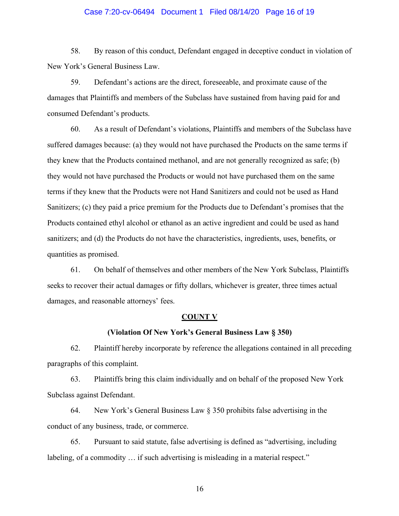# Case 7:20-cv-06494 Document 1 Filed 08/14/20 Page 16 of 19

58. By reason of this conduct, Defendant engaged in deceptive conduct in violation of New York's General Business Law.

59. Defendant's actions are the direct, foreseeable, and proximate cause of the damages that Plaintiffs and members of the Subclass have sustained from having paid for and consumed Defendant's products.

60. As a result of Defendant's violations, Plaintiffs and members of the Subclass have suffered damages because: (a) they would not have purchased the Products on the same terms if they knew that the Products contained methanol, and are not generally recognized as safe; (b) they would not have purchased the Products or would not have purchased them on the same terms if they knew that the Products were not Hand Sanitizers and could not be used as Hand Sanitizers; (c) they paid a price premium for the Products due to Defendant's promises that the Products contained ethyl alcohol or ethanol as an active ingredient and could be used as hand sanitizers; and (d) the Products do not have the characteristics, ingredients, uses, benefits, or quantities as promised.

61. On behalf of themselves and other members of the New York Subclass, Plaintiffs seeks to recover their actual damages or fifty dollars, whichever is greater, three times actual damages, and reasonable attorneys' fees.

# **COUNT V**

# **(Violation Of New York's General Business Law § 350)**

62. Plaintiff hereby incorporate by reference the allegations contained in all preceding paragraphs of this complaint.

63. Plaintiffs bring this claim individually and on behalf of the proposed New York Subclass against Defendant.

64. New York's General Business Law § 350 prohibits false advertising in the conduct of any business, trade, or commerce.

65. Pursuant to said statute, false advertising is defined as "advertising, including labeling, of a commodity … if such advertising is misleading in a material respect."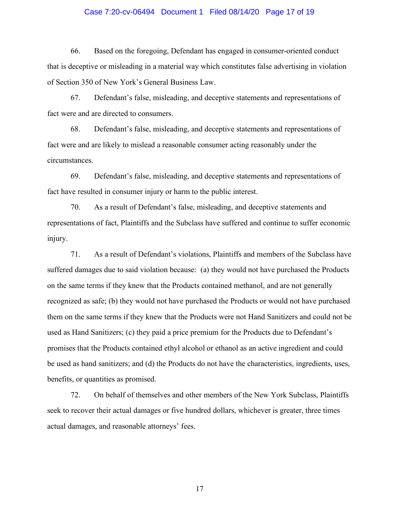# Case 7:20-cv-06494 Document 1 Filed 08/14/20 Page 17 of 19

66. Based on the foregoing, Defendant has engaged in consumer-oriented conduct that is deceptive or misleading in a material way which constitutes false advertising in violation of Section 350 of New York's General Business Law.

67. Defendant's false, misleading, and deceptive statements and representations of fact were and are directed to consumers.

68. Defendant's false, misleading, and deceptive statements and representations of fact were and are likely to mislead a reasonable consumer acting reasonably under the circumstances.

69. Defendant's false, misleading, and deceptive statements and representations of fact have resulted in consumer injury or harm to the public interest.

70. As a result of Defendant's false, misleading, and deceptive statements and representations of fact, Plaintiffs and the Subclass have suffered and continue to suffer economic injury.

71. As a result of Defendant's violations, Plaintiffs and members of the Subclass have suffered damages due to said violation because: (a) they would not have purchased the Products on the same terms if they knew that the Products contained methanol, and are not generally recognized as safe; (b) they would not have purchased the Products or would not have purchased them on the same terms if they knew that the Products were not Hand Sanitizers and could not be used as Hand Sanitizers; (c) they paid a price premium for the Products due to Defendant's promises that the Products contained ethyl alcohol or ethanol as an active ingredient and could be used as hand sanitizers; and (d) the Products do not have the characteristics, ingredients, uses, benefits, or quantities as promised.

72. On behalf of themselves and other members of the New York Subclass, Plaintiffs seek to recover their actual damages or five hundred dollars, whichever is greater, three times actual damages, and reasonable attorneys' fees.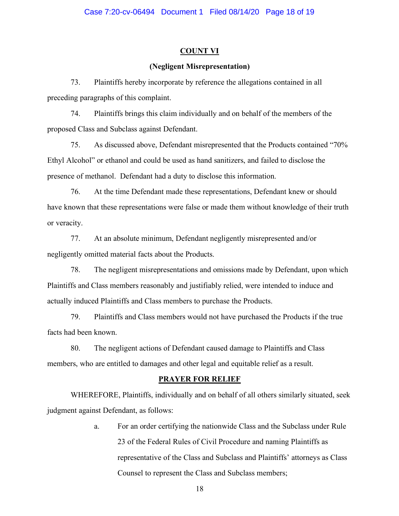# **COUNT VI**

# **(Negligent Misrepresentation)**

73. Plaintiffs hereby incorporate by reference the allegations contained in all preceding paragraphs of this complaint.

74. Plaintiffs brings this claim individually and on behalf of the members of the proposed Class and Subclass against Defendant.

75. As discussed above, Defendant misrepresented that the Products contained "70% Ethyl Alcohol" or ethanol and could be used as hand sanitizers, and failed to disclose the presence of methanol. Defendant had a duty to disclose this information.

76. At the time Defendant made these representations, Defendant knew or should have known that these representations were false or made them without knowledge of their truth or veracity.

77. At an absolute minimum, Defendant negligently misrepresented and/or negligently omitted material facts about the Products.

78. The negligent misrepresentations and omissions made by Defendant, upon which Plaintiffs and Class members reasonably and justifiably relied, were intended to induce and actually induced Plaintiffs and Class members to purchase the Products.

79. Plaintiffs and Class members would not have purchased the Products if the true facts had been known.

80. The negligent actions of Defendant caused damage to Plaintiffs and Class members, who are entitled to damages and other legal and equitable relief as a result.

# **PRAYER FOR RELIEF**

WHEREFORE, Plaintiffs, individually and on behalf of all others similarly situated, seek judgment against Defendant, as follows:

> a. For an order certifying the nationwide Class and the Subclass under Rule 23 of the Federal Rules of Civil Procedure and naming Plaintiffs as representative of the Class and Subclass and Plaintiffs' attorneys as Class Counsel to represent the Class and Subclass members;